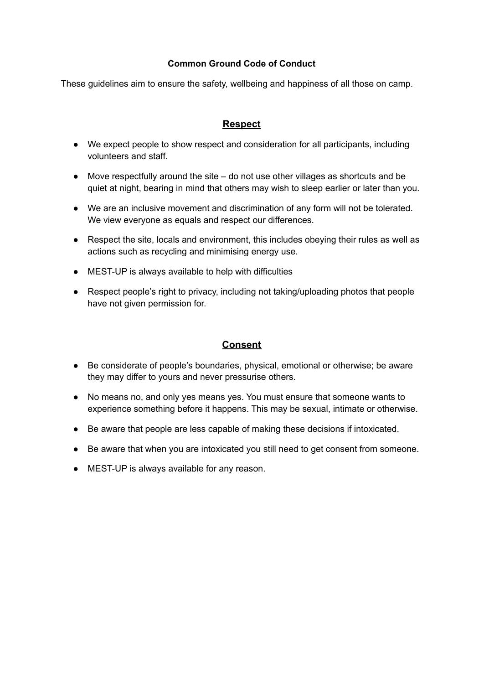### **Common Ground Code of Conduct**

These guidelines aim to ensure the safety, wellbeing and happiness of all those on camp.

# **Respect**

- We expect people to show respect and consideration for all participants, including volunteers and staff.
- Move respectfully around the site do not use other villages as shortcuts and be quiet at night, bearing in mind that others may wish to sleep earlier or later than you.
- We are an inclusive movement and discrimination of any form will not be tolerated. We view everyone as equals and respect our differences.
- Respect the site, locals and environment, this includes obeying their rules as well as actions such as recycling and minimising energy use.
- MEST-UP is always available to help with difficulties
- Respect people's right to privacy, including not taking/uploading photos that people have not given permission for.

## **Consent**

- Be considerate of people's boundaries, physical, emotional or otherwise; be aware they may differ to yours and never pressurise others.
- No means no, and only yes means yes. You must ensure that someone wants to experience something before it happens. This may be sexual, intimate or otherwise.
- Be aware that people are less capable of making these decisions if intoxicated.
- Be aware that when you are intoxicated you still need to get consent from someone.
- MEST-UP is always available for any reason.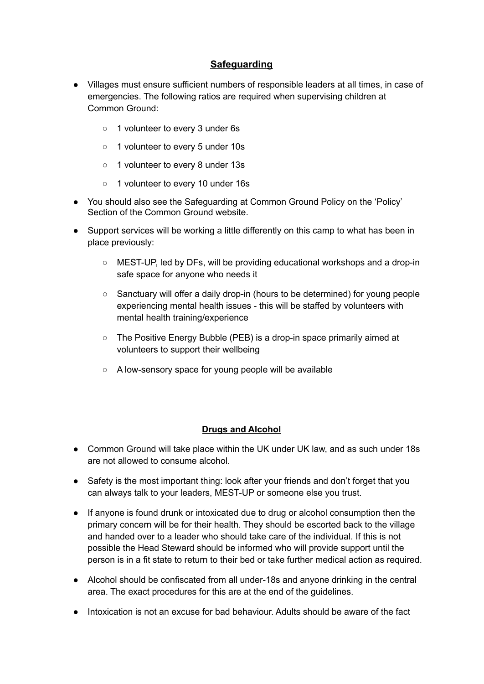# **Safeguarding**

- Villages must ensure sufficient numbers of responsible leaders at all times, in case of emergencies. The following ratios are required when supervising children at Common Ground:
	- o 1 volunteer to every 3 under 6s
	- 1 volunteer to every 5 under 10s
	- 1 volunteer to every 8 under 13s
	- 1 volunteer to every 10 under 16s
- You should also see the Safeguarding at Common Ground Policy on the 'Policy' Section of the Common Ground website.
- Support services will be working a little differently on this camp to what has been in place previously:
	- MEST-UP, led by DFs, will be providing educational workshops and a drop-in safe space for anyone who needs it
	- Sanctuary will offer a daily drop-in (hours to be determined) for young people experiencing mental health issues - this will be staffed by volunteers with mental health training/experience
	- The Positive Energy Bubble (PEB) is a drop-in space primarily aimed at volunteers to support their wellbeing
	- A low-sensory space for young people will be available

#### **Drugs and Alcohol**

- Common Ground will take place within the UK under UK law, and as such under 18s are not allowed to consume alcohol.
- Safety is the most important thing: look after your friends and don't forget that you can always talk to your leaders, MEST-UP or someone else you trust.
- If anyone is found drunk or intoxicated due to drug or alcohol consumption then the primary concern will be for their health. They should be escorted back to the village and handed over to a leader who should take care of the individual. If this is not possible the Head Steward should be informed who will provide support until the person is in a fit state to return to their bed or take further medical action as required.
- Alcohol should be confiscated from all under-18s and anyone drinking in the central area. The exact procedures for this are at the end of the guidelines.
- Intoxication is not an excuse for bad behaviour. Adults should be aware of the fact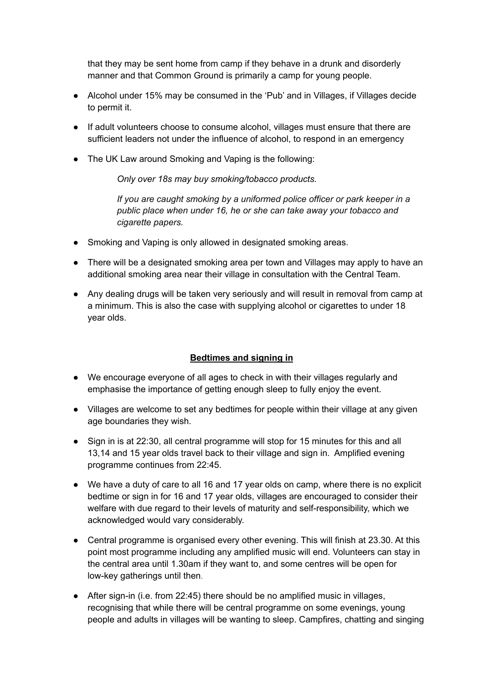that they may be sent home from camp if they behave in a drunk and disorderly manner and that Common Ground is primarily a camp for young people.

- Alcohol under 15% may be consumed in the 'Pub' and in Villages, if Villages decide to permit it.
- If adult volunteers choose to consume alcohol, villages must ensure that there are sufficient leaders not under the influence of alcohol, to respond in an emergency
- The UK Law around Smoking and Vaping is the following:

*Only over 18s may buy smoking/tobacco products.*

*If you are caught smoking by a uniformed police officer or park keeper in a public place when under 16, he or she can take away your tobacco and cigarette papers.*

- Smoking and Vaping is only allowed in designated smoking areas.
- There will be a designated smoking area per town and Villages may apply to have an additional smoking area near their village in consultation with the Central Team.
- Any dealing drugs will be taken very seriously and will result in removal from camp at a minimum. This is also the case with supplying alcohol or cigarettes to under 18 year olds.

## **Bedtimes and signing in**

- We encourage everyone of all ages to check in with their villages regularly and emphasise the importance of getting enough sleep to fully enjoy the event.
- Villages are welcome to set any bedtimes for people within their village at any given age boundaries they wish.
- Sign in is at 22:30, all central programme will stop for 15 minutes for this and all 13,14 and 15 year olds travel back to their village and sign in. Amplified evening programme continues from 22:45.
- We have a duty of care to all 16 and 17 year olds on camp, where there is no explicit bedtime or sign in for 16 and 17 year olds, villages are encouraged to consider their welfare with due regard to their levels of maturity and self-responsibility, which we acknowledged would vary considerably.
- Central programme is organised every other evening. This will finish at 23.30. At this point most programme including any amplified music will end. Volunteers can stay in the central area until 1.30am if they want to, and some centres will be open for low-key gatherings until then.
- After sign-in (i.e. from 22:45) there should be no amplified music in villages, recognising that while there will be central programme on some evenings, young people and adults in villages will be wanting to sleep. Campfires, chatting and singing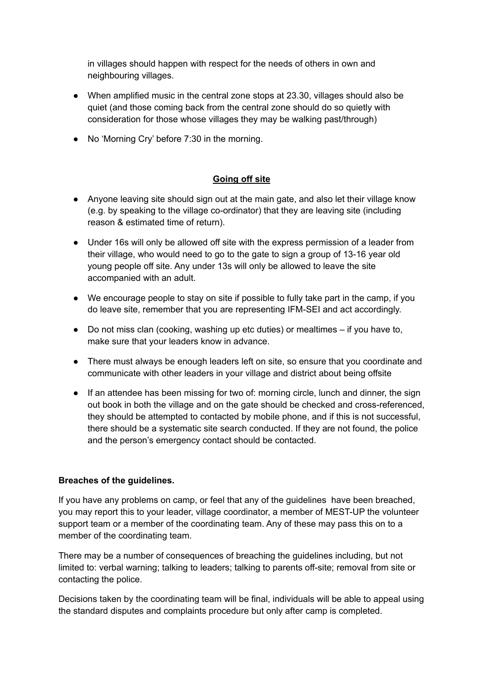in villages should happen with respect for the needs of others in own and neighbouring villages.

- When amplified music in the central zone stops at 23.30, villages should also be quiet (and those coming back from the central zone should do so quietly with consideration for those whose villages they may be walking past/through)
- No 'Morning Cry' before 7:30 in the morning.

## **Going off site**

- Anyone leaving site should sign out at the main gate, and also let their village know (e.g. by speaking to the village co-ordinator) that they are leaving site (including reason & estimated time of return).
- Under 16s will only be allowed off site with the express permission of a leader from their village, who would need to go to the gate to sign a group of 13-16 year old young people off site. Any under 13s will only be allowed to leave the site accompanied with an adult.
- We encourage people to stay on site if possible to fully take part in the camp, if you do leave site, remember that you are representing IFM-SEI and act accordingly.
- Do not miss clan (cooking, washing up etc duties) or mealtimes if you have to, make sure that your leaders know in advance.
- There must always be enough leaders left on site, so ensure that you coordinate and communicate with other leaders in your village and district about being offsite
- If an attendee has been missing for two of: morning circle, lunch and dinner, the sign out book in both the village and on the gate should be checked and cross-referenced, they should be attempted to contacted by mobile phone, and if this is not successful, there should be a systematic site search conducted. If they are not found, the police and the person's emergency contact should be contacted.

#### **Breaches of the guidelines.**

If you have any problems on camp, or feel that any of the guidelines have been breached, you may report this to your leader, village coordinator, a member of MEST-UP the volunteer support team or a member of the coordinating team. Any of these may pass this on to a member of the coordinating team.

There may be a number of consequences of breaching the guidelines including, but not limited to: verbal warning; talking to leaders; talking to parents off-site; removal from site or contacting the police.

Decisions taken by the coordinating team will be final, individuals will be able to appeal using the standard disputes and complaints procedure but only after camp is completed.